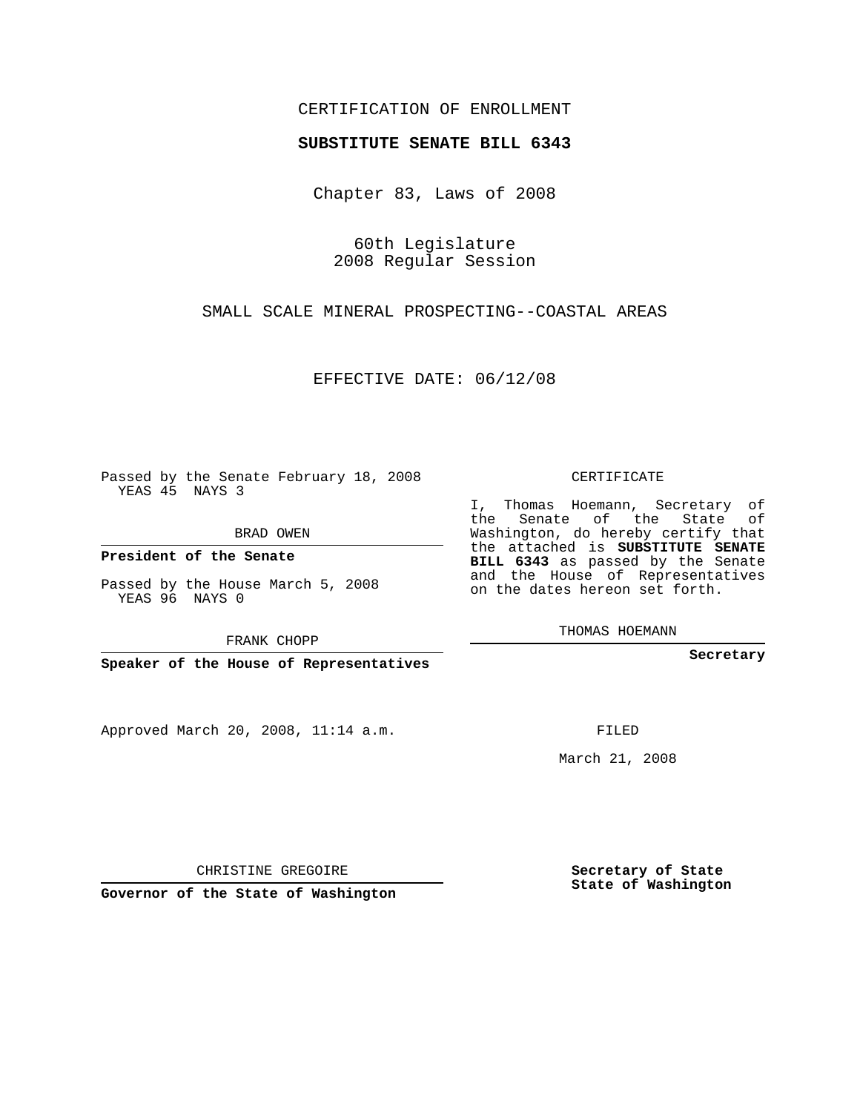## CERTIFICATION OF ENROLLMENT

### **SUBSTITUTE SENATE BILL 6343**

Chapter 83, Laws of 2008

60th Legislature 2008 Regular Session

SMALL SCALE MINERAL PROSPECTING--COASTAL AREAS

EFFECTIVE DATE: 06/12/08

Passed by the Senate February 18, 2008 YEAS 45 NAYS 3

BRAD OWEN

**President of the Senate**

Passed by the House March 5, 2008 YEAS 96 NAYS 0

FRANK CHOPP

**Speaker of the House of Representatives**

Approved March 20, 2008, 11:14 a.m.

CERTIFICATE

I, Thomas Hoemann, Secretary of the Senate of the State of Washington, do hereby certify that the attached is **SUBSTITUTE SENATE BILL 6343** as passed by the Senate and the House of Representatives on the dates hereon set forth.

THOMAS HOEMANN

**Secretary**

FILED

March 21, 2008

**Secretary of State State of Washington**

CHRISTINE GREGOIRE

**Governor of the State of Washington**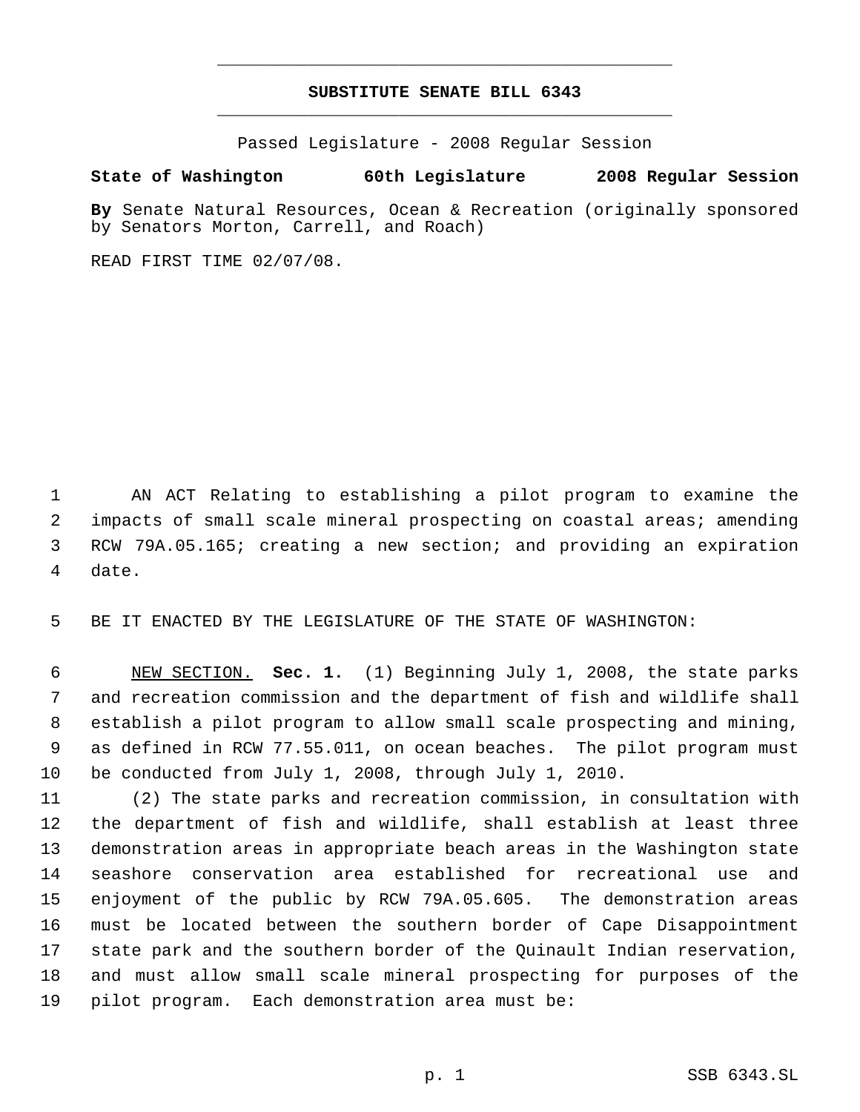# **SUBSTITUTE SENATE BILL 6343** \_\_\_\_\_\_\_\_\_\_\_\_\_\_\_\_\_\_\_\_\_\_\_\_\_\_\_\_\_\_\_\_\_\_\_\_\_\_\_\_\_\_\_\_\_

\_\_\_\_\_\_\_\_\_\_\_\_\_\_\_\_\_\_\_\_\_\_\_\_\_\_\_\_\_\_\_\_\_\_\_\_\_\_\_\_\_\_\_\_\_

Passed Legislature - 2008 Regular Session

### **State of Washington 60th Legislature 2008 Regular Session**

**By** Senate Natural Resources, Ocean & Recreation (originally sponsored by Senators Morton, Carrell, and Roach)

READ FIRST TIME 02/07/08.

 AN ACT Relating to establishing a pilot program to examine the impacts of small scale mineral prospecting on coastal areas; amending RCW 79A.05.165; creating a new section; and providing an expiration date.

BE IT ENACTED BY THE LEGISLATURE OF THE STATE OF WASHINGTON:

 NEW SECTION. **Sec. 1.** (1) Beginning July 1, 2008, the state parks and recreation commission and the department of fish and wildlife shall establish a pilot program to allow small scale prospecting and mining, as defined in RCW 77.55.011, on ocean beaches. The pilot program must be conducted from July 1, 2008, through July 1, 2010.

 (2) The state parks and recreation commission, in consultation with the department of fish and wildlife, shall establish at least three demonstration areas in appropriate beach areas in the Washington state seashore conservation area established for recreational use and enjoyment of the public by RCW 79A.05.605. The demonstration areas must be located between the southern border of Cape Disappointment state park and the southern border of the Quinault Indian reservation, and must allow small scale mineral prospecting for purposes of the pilot program. Each demonstration area must be: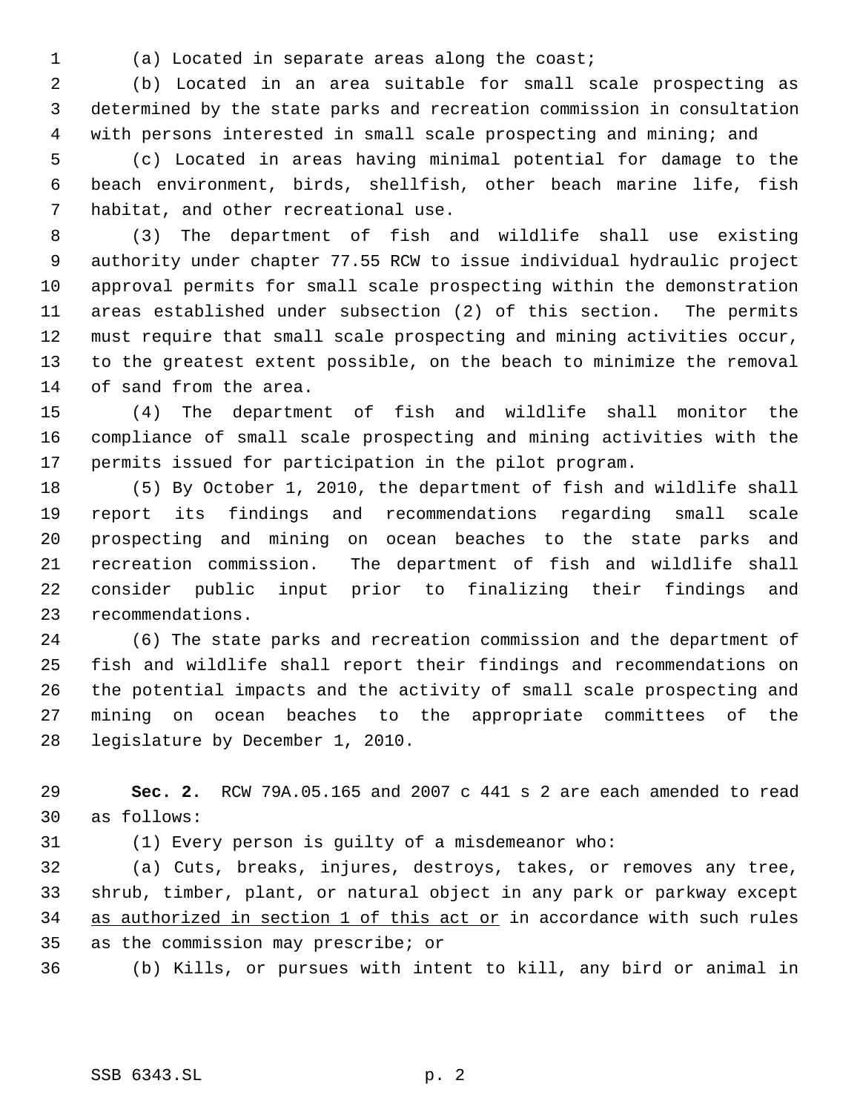(a) Located in separate areas along the coast;

 (b) Located in an area suitable for small scale prospecting as determined by the state parks and recreation commission in consultation with persons interested in small scale prospecting and mining; and

 (c) Located in areas having minimal potential for damage to the beach environment, birds, shellfish, other beach marine life, fish habitat, and other recreational use.

 (3) The department of fish and wildlife shall use existing authority under chapter 77.55 RCW to issue individual hydraulic project approval permits for small scale prospecting within the demonstration areas established under subsection (2) of this section. The permits must require that small scale prospecting and mining activities occur, to the greatest extent possible, on the beach to minimize the removal of sand from the area.

 (4) The department of fish and wildlife shall monitor the compliance of small scale prospecting and mining activities with the permits issued for participation in the pilot program.

 (5) By October 1, 2010, the department of fish and wildlife shall report its findings and recommendations regarding small scale prospecting and mining on ocean beaches to the state parks and recreation commission. The department of fish and wildlife shall consider public input prior to finalizing their findings and recommendations.

 (6) The state parks and recreation commission and the department of fish and wildlife shall report their findings and recommendations on the potential impacts and the activity of small scale prospecting and mining on ocean beaches to the appropriate committees of the legislature by December 1, 2010.

 **Sec. 2.** RCW 79A.05.165 and 2007 c 441 s 2 are each amended to read as follows:

(1) Every person is guilty of a misdemeanor who:

 (a) Cuts, breaks, injures, destroys, takes, or removes any tree, shrub, timber, plant, or natural object in any park or parkway except 34 as authorized in section 1 of this act or in accordance with such rules as the commission may prescribe; or

(b) Kills, or pursues with intent to kill, any bird or animal in